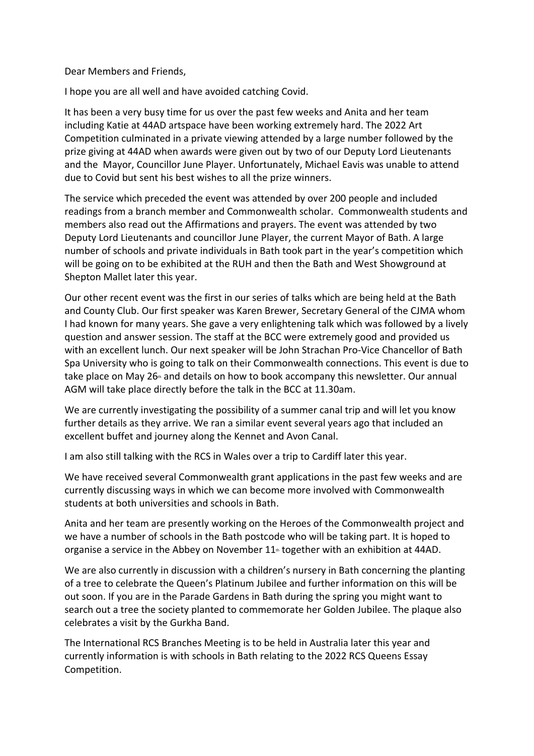Dear Members and Friends,

I hope you are all well and have avoided catching Covid.

It has been a very busy time for us over the past few weeks and Anita and her team including Katie at 44AD artspace have been working extremely hard. The 2022 Art Competition culminated in a private viewing attended by a large number followed by the prize giving at 44AD when awards were given out by two of our Deputy Lord Lieutenants and the Mayor, Councillor June Player. Unfortunately, Michael Eavis was unable to attend due to Covid but sent his best wishes to all the prize winners.

The service which preceded the event was attended by over 200 people and included readings from a branch member and Commonwealth scholar. Commonwealth students and members also read out the Affirmations and prayers. The event was attended by two Deputy Lord Lieutenants and councillor June Player, the current Mayor of Bath. A large number of schools and private individuals in Bath took part in the year's competition which will be going on to be exhibited at the RUH and then the Bath and West Showground at Shepton Mallet later this year.

Our other recent event was the first in our series of talks which are being held at the Bath and County Club. Our first speaker was Karen Brewer, Secretary General of the CJMA whom I had known for many years. She gave a very enlightening talk which was followed by a lively question and answer session. The staff at the BCC were extremely good and provided us with an excellent lunch. Our next speaker will be John Strachan Pro-Vice Chancellor of Bath Spa University who is going to talk on their Commonwealth connections. This event is due to take place on May 26<sup>th</sup> and details on how to book accompany this newsletter. Our annual AGM will take place directly before the talk in the BCC at 11.30am.

We are currently investigating the possibility of a summer canal trip and will let you know further details as they arrive. We ran a similar event several years ago that included an excellent buffet and journey along the Kennet and Avon Canal.

I am also still talking with the RCS in Wales over a trip to Cardiff later this year.

We have received several Commonwealth grant applications in the past few weeks and are currently discussing ways in which we can become more involved with Commonwealth students at both universities and schools in Bath.

Anita and her team are presently working on the Heroes of the Commonwealth project and we have a number of schools in the Bath postcode who will be taking part. It is hoped to organise a service in the Abbey on November  $11<sup>th</sup>$  together with an exhibition at 44AD.

We are also currently in discussion with a children's nursery in Bath concerning the planting of a tree to celebrate the Queen's Platinum Jubilee and further information on this will be out soon. If you are in the Parade Gardens in Bath during the spring you might want to search out a tree the society planted to commemorate her Golden Jubilee. The plaque also celebrates a visit by the Gurkha Band.

The International RCS Branches Meeting is to be held in Australia later this year and currently information is with schools in Bath relating to the 2022 RCS Queens Essay Competition.